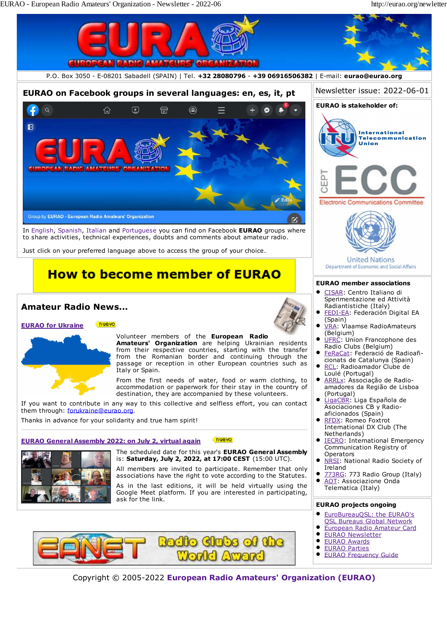